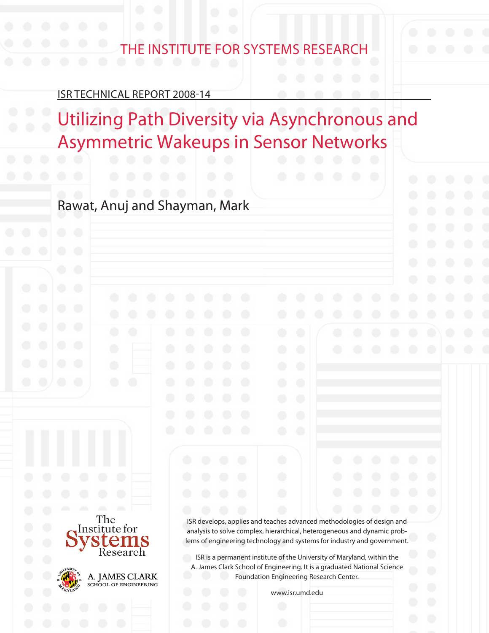# The Institute for Systems Research

### ISR Technical Report 2008-14

## Utilizing Path Diversity via Asynchronous and **Asymmetric Wakeups in Sensor Networks**

Rawat, Anuj and Shayman, Mark

The Institute for

Research

A. JAMES CLARK SCHOOL OF ENGINEERING

Ł



ISR is a permanent institute of the University of Maryland, within the A. James Clark School of Engineering. It is a graduated National Science Foundation Engineering Research Center.

www.isr.umd.edu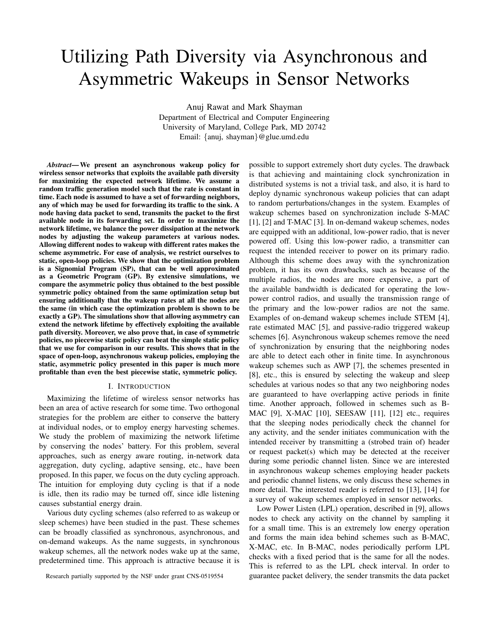## Utilizing Path Diversity via Asynchronous and Asymmetric Wakeups in Sensor Networks

Anuj Rawat and Mark Shayman Department of Electrical and Computer Engineering University of Maryland, College Park, MD 20742 Email: {anuj, shayman}@glue.umd.edu

*Abstract*— We present an asynchronous wakeup policy for wireless sensor networks that exploits the available path diversity for maximizing the expected network lifetime. We assume a random traffic generation model such that the rate is constant in time. Each node is assumed to have a set of forwarding neighbors, any of which may be used for forwarding its traffic to the sink. A node having data packet to send, transmits the packet to the first available node in its forwarding set. In order to maximize the network lifetime, we balance the power dissipation at the network nodes by adjusting the wakeup parameters at various nodes. Allowing different nodes to wakeup with different rates makes the scheme asymmetric. For ease of analysis, we restrict ourselves to static, open-loop policies. We show that the optimization problem is a Signomial Program (SP), that can be well approximated as a Geometric Program (GP). By extensive simulations, we compare the asymmetric policy thus obtained to the best possible symmetric policy obtained from the same optimization setup but ensuring additionally that the wakeup rates at all the nodes are the same (in which case the optimization problem is shown to be exactly a GP). The simulations show that allowing asymmetry can extend the network lifetime by effectively exploiting the available path diversity. Moreover, we also prove that, in case of symmetric policies, no piecewise static policy can beat the simple static policy that we use for comparison in our results. This shows that in the space of open-loop, asynchronous wakeup policies, employing the static, asymmetric policy presented in this paper is much more profitable than even the best piecewise static, symmetric policy.

#### I. INTRODUCTION

Maximizing the lifetime of wireless sensor networks has been an area of active research for some time. Two orthogonal strategies for the problem are either to conserve the battery at individual nodes, or to employ energy harvesting schemes. We study the problem of maximizing the network lifetime by conserving the nodes' battery. For this problem, several approaches, such as energy aware routing, in-network data aggregation, duty cycling, adaptive sensing, etc., have been proposed. In this paper, we focus on the duty cycling approach. The intuition for employing duty cycling is that if a node is idle, then its radio may be turned off, since idle listening causes substantial energy drain.

Various duty cycling schemes (also referred to as wakeup or sleep schemes) have been studied in the past. These schemes can be broadly classified as synchronous, asynchronous, and on-demand wakeups. As the name suggests, in synchronous wakeup schemes, all the network nodes wake up at the same, predetermined time. This approach is attractive because it is

Research partially supported by the NSF under grant CNS-0519554

possible to support extremely short duty cycles. The drawback is that achieving and maintaining clock synchronization in distributed systems is not a trivial task, and also, it is hard to deploy dynamic synchronous wakeup policies that can adapt to random perturbations/changes in the system. Examples of wakeup schemes based on synchronization include S-MAC [1], [2] and T-MAC [3]. In on-demand wakeup schemes, nodes are equipped with an additional, low-power radio, that is never powered off. Using this low-power radio, a transmitter can request the intended receiver to power on its primary radio. Although this scheme does away with the synchronization problem, it has its own drawbacks, such as because of the multiple radios, the nodes are more expensive, a part of the available bandwidth is dedicated for operating the lowpower control radios, and usually the transmission range of the primary and the low-power radios are not the same. Examples of on-demand wakeup schemes include STEM [4], rate estimated MAC [5], and passive-radio triggered wakeup schemes [6]. Asynchronous wakeup schemes remove the need of synchronization by ensuring that the neighboring nodes are able to detect each other in finite time. In asynchronous wakeup schemes such as AWP [7], the schemes presented in [8], etc., this is ensured by selecting the wakeup and sleep schedules at various nodes so that any two neighboring nodes are guaranteed to have overlapping active periods in finite time. Another approach, followed in schemes such as B-MAC [9], X-MAC [10], SEESAW [11], [12] etc., requires that the sleeping nodes periodically check the channel for any activity, and the sender initiates communication with the intended receiver by transmitting a (strobed train of) header or request packet(s) which may be detected at the receiver during some periodic channel listen. Since we are interested in asynchronous wakeup schemes employing header packets and periodic channel listens, we only discuss these schemes in more detail. The interested reader is referred to [13], [14] for a survey of wakeup schemes employed in sensor networks.

Low Power Listen (LPL) operation, described in [9], allows nodes to check any activity on the channel by sampling it for a small time. This is an extremely low energy operation and forms the main idea behind schemes such as B-MAC, X-MAC, etc. In B-MAC, nodes periodically perform LPL checks with a fixed period that is the same for all the nodes. This is referred to as the LPL check interval. In order to guarantee packet delivery, the sender transmits the data packet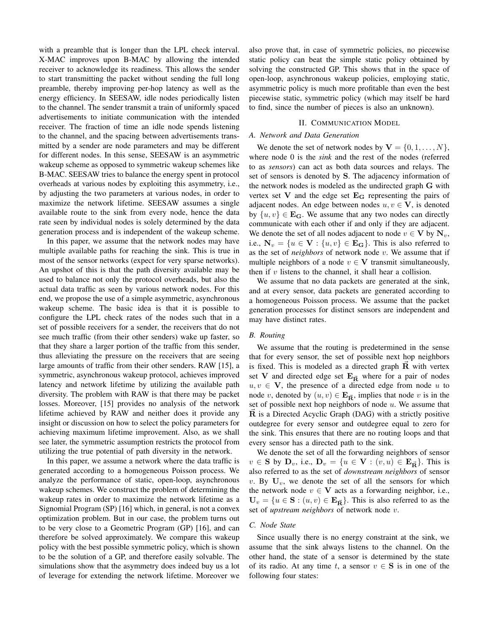with a preamble that is longer than the LPL check interval. X-MAC improves upon B-MAC by allowing the intended receiver to acknowledge its readiness. This allows the sender to start transmitting the packet without sending the full long preamble, thereby improving per-hop latency as well as the energy efficiency. In SEESAW, idle nodes periodically listen to the channel. The sender transmit a train of uniformly spaced advertisements to initiate communication with the intended receiver. The fraction of time an idle node spends listening to the channel, and the spacing between advertisements transmitted by a sender are node parameters and may be different for different nodes. In this sense, SEESAW is an asymmetric wakeup scheme as opposed to symmetric wakeup schemes like B-MAC. SEESAW tries to balance the energy spent in protocol overheads at various nodes by exploiting this asymmetry, i.e., by adjusting the two parameters at various nodes, in order to maximize the network lifetime. SEESAW assumes a single available route to the sink from every node, hence the data rate seen by individual nodes is solely determined by the data generation process and is independent of the wakeup scheme.

In this paper, we assume that the network nodes may have multiple available paths for reaching the sink. This is true in most of the sensor networks (expect for very sparse networks). An upshot of this is that the path diversity available may be used to balance not only the protocol overheads, but also the actual data traffic as seen by various network nodes. For this end, we propose the use of a simple asymmetric, asynchronous wakeup scheme. The basic idea is that it is possible to configure the LPL check rates of the nodes such that in a set of possible receivers for a sender, the receivers that do not see much traffic (from their other senders) wake up faster, so that they share a larger portion of the traffic from this sender, thus alleviating the pressure on the receivers that are seeing large amounts of traffic from their other senders. RAW [15], a symmetric, asynchronous wakeup protocol, achieves improved latency and network lifetime by utilizing the available path diversity. The problem with RAW is that there may be packet losses. Moreover, [15] provides no analysis of the network lifetime achieved by RAW and neither does it provide any insight or discussion on how to select the policy parameters for achieving maximum lifetime improvement. Also, as we shall see later, the symmetric assumption restricts the protocol from utilizing the true potential of path diversity in the network.

In this paper, we assume a network where the data traffic is generated according to a homogeneous Poisson process. We analyze the performance of static, open-loop, asynchronous wakeup schemes. We construct the problem of determining the wakeup rates in order to maximize the network lifetime as a Signomial Program (SP) [16] which, in general, is not a convex optimization problem. But in our case, the problem turns out to be very close to a Geometric Program (GP) [16], and can therefore be solved approximately. We compare this wakeup policy with the best possible symmetric policy, which is shown to be the solution of a GP, and therefore easily solvable. The simulations show that the asymmetry does indeed buy us a lot of leverage for extending the network lifetime. Moreover we also prove that, in case of symmetric policies, no piecewise static policy can beat the simple static policy obtained by solving the constructed GP. This shows that in the space of open-loop, asynchronous wakeup policies, employing static, asymmetric policy is much more profitable than even the best piecewise static, symmetric policy (which may itself be hard to find, since the number of pieces is also an unknown).

#### II. COMMUNICATION MODEL

#### *A. Network and Data Generation*

We denote the set of network nodes by  $V = \{0, 1, \ldots, N\}$ , where node 0 is the *sink* and the rest of the nodes (referred to as *sensors*) can act as both data sources and relays. The set of sensors is denoted by S. The adjacency information of the network nodes is modeled as the undirected graph G with vertex set  $V$  and the edge set  $E_G$  representing the pairs of adjacent nodes. An edge between nodes  $u, v \in V$ , is denoted by  $\{u, v\} \in \mathbf{E}_{\mathbf{G}}$ . We assume that any two nodes can directly communicate with each other if and only if they are adjacent. We denote the set of all nodes adjacent to node  $v \in V$  by  $N_v$ , i.e.,  $N_v = \{u \in V : \{u, v\} \in E_G\}$ . This is also referred to as the set of *neighbors* of network node v. We assume that if multiple neighbors of a node  $v \in V$  transmit simultaneously, then if  $v$  listens to the channel, it shall hear a collision.

We assume that no data packets are generated at the sink, and at every sensor, data packets are generated according to a homogeneous Poisson process. We assume that the packet generation processes for distinct sensors are independent and may have distinct rates.

#### *B. Routing*

We assume that the routing is predetermined in the sense that for every sensor, the set of possible next hop neighbors is fixed. This is modeled as a directed graph  $\bf{R}$  with vertex set V and directed edge set  $E_{\vec{B}}$  where for a pair of nodes  $u, v \in V$ , the presence of a directed edge from node u to node v, denoted by  $(u, v) \in \mathbf{E}_{\vec{B}}$ , implies that node v is in the set of possible next hop neighbors of node  $u$ . We assume that  $\overrightarrow{R}$  is a Directed Acyclic Graph (DAG) with a strictly positive outdegree for every sensor and outdegree equal to zero for the sink. This ensures that there are no routing loops and that every sensor has a directed path to the sink.

We denote the set of all the forwarding neighbors of sensor  $v \in \mathbf{S}$  by  $\mathbf{D}_v$ , i.e.,  $\mathbf{D}_v = \{u \in \mathbf{V} : (v, u) \in \mathbf{E}_{\vec{B}}\}$ . This is also referred to as the set of *downstream neighbors* of sensor v. By  $U_v$ , we denote the set of all the sensors for which the network node  $v \in V$  acts as a forwarding neighbor, i.e.,  $\mathbf{U}_v = \{u \in \mathbf{S} : (u, v) \in \mathbf{E}_{\vec{\mathbf{B}}}\}\$ . This is also referred to as the set of *upstream neighbors* of network node v.

#### *C. Node State*

Since usually there is no energy constraint at the sink, we assume that the sink always listens to the channel. On the other hand, the state of a sensor is determined by the state of its radio. At any time t, a sensor  $v \in S$  is in one of the following four states: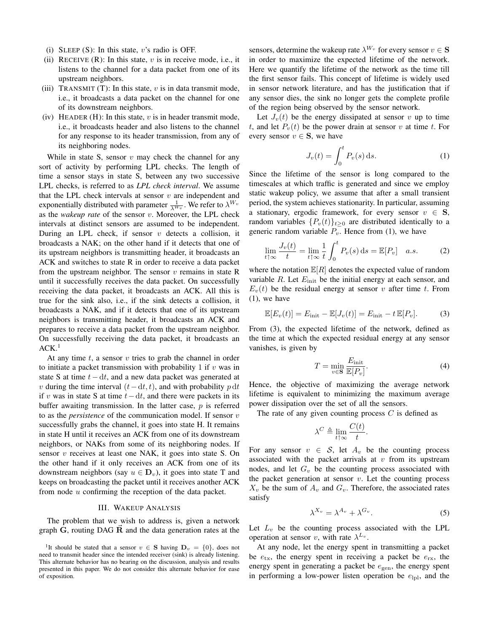- (i) SLEEP  $(S)$ : In this state, v's radio is OFF.
- (ii) RECEIVE  $(R)$ : In this state, v is in receive mode, i.e., it listens to the channel for a data packet from one of its upstream neighbors.
- (iii) TRANSMIT (T): In this state,  $v$  is in data transmit mode, i.e., it broadcasts a data packet on the channel for one of its downstream neighbors.
- (iv) HEADER (H): In this state,  $v$  is in header transmit mode, i.e., it broadcasts header and also listens to the channel for any response to its header transmission, from any of its neighboring nodes.

While in state S, sensor  $v$  may check the channel for any sort of activity by performing LPL checks. The length of time a sensor stays in state S, between any two successive LPL checks, is referred to as *LPL check interval*. We assume that the LPL check intervals at sensor  $v$  are independent and exponentially distributed with parameter  $\frac{1}{\lambda^{W_v}}$ . We refer to  $\lambda^{W_v}$ as the *wakeup rate* of the sensor v. Moreover, the LPL check intervals at distinct sensors are assumed to be independent. During an LPL check, if sensor  $v$  detects a collision, it broadcasts a NAK; on the other hand if it detects that one of its upstream neighbors is transmitting header, it broadcasts an ACK and switches to state R in order to receive a data packet from the upstream neighbor. The sensor  $v$  remains in state R until it successfully receives the data packet. On successfully receiving the data packet, it broadcasts an ACK. All this is true for the sink also, i.e., if the sink detects a collision, it broadcasts a NAK, and if it detects that one of its upstream neighbors is transmitting header, it broadcasts an ACK and prepares to receive a data packet from the upstream neighbor. On successfully receiving the data packet, it broadcasts an  $ACK<sup>1</sup>$ 

At any time  $t$ , a sensor  $v$  tries to grab the channel in order to initiate a packet transmission with probability 1 if  $v$  was in state S at time  $t - dt$ , and a new data packet was generated at v during the time interval  $(t - dt, t)$ , and with probability  $p dt$ if v was in state S at time  $t-dt$ , and there were packets in its buffer awaiting transmission. In the latter case,  $p$  is referred to as the *persistence* of the communication model. If sensor v successfully grabs the channel, it goes into state H. It remains in state H until it receives an ACK from one of its downstream neighbors, or NAKs from some of its neighboring nodes. If sensor v receives at least one NAK, it goes into state S. On the other hand if it only receives an ACK from one of its downstream neighbors (say  $u \in D_v$ ), it goes into state T and keeps on broadcasting the packet until it receives another ACK from node  $u$  confirming the reception of the data packet.

#### III. WAKEUP ANALYSIS

The problem that we wish to address is, given a network graph G, routing DAG  $\hat{R}$  and the data generation rates at the

sensors, determine the wakeup rate  $\lambda^{W_v}$  for every sensor  $v \in S$ in order to maximize the expected lifetime of the network. Here we quantify the lifetime of the network as the time till the first sensor fails. This concept of lifetime is widely used in sensor network literature, and has the justification that if any sensor dies, the sink no longer gets the complete profile of the region being observed by the sensor network.

Let  $J_v(t)$  be the energy dissipated at sensor v up to time t, and let  $P_v(t)$  be the power drain at sensor v at time t. For every sensor  $v \in S$ , we have

$$
J_v(t) = \int_0^t P_v(s) \, \mathrm{d}s. \tag{1}
$$

Since the lifetime of the sensor is long compared to the timescales at which traffic is generated and since we employ static wakeup policy, we assume that after a small transient period, the system achieves stationarity. In particular, assuming a stationary, ergodic framework, for every sensor  $v \in S$ , random variables  $\{P_v(t)\}_{t\geq 0}$  are distributed identically to a generic random variable  $P_v$ . Hence from (1), we have

$$
\lim_{t \uparrow \infty} \frac{J_v(t)}{t} = \lim_{t \uparrow \infty} \frac{1}{t} \int_0^t P_v(s) \, ds = \mathbb{E}[P_v] \quad a.s. \tag{2}
$$

where the notation  $\mathbb{E}[R]$  denotes the expected value of random variable  $R$ . Let  $E_{init}$  be the initial energy at each sensor, and  $E<sub>v</sub>(t)$  be the residual energy at sensor v after time t. From (1), we have

$$
\mathbb{E}[E_v(t)] = E_{\text{init}} - \mathbb{E}[J_v(t)] = E_{\text{init}} - t \mathbb{E}[P_v]. \tag{3}
$$

From (3), the expected lifetime of the network, defined as the time at which the expected residual energy at any sensor vanishes, is given by

$$
T = \min_{v \in \mathbf{S}} \frac{E_{\text{init}}}{\mathbb{E}[P_v]}.
$$
 (4)

Hence, the objective of maximizing the average network lifetime is equivalent to minimizing the maximum average power dissipation over the set of all the sensors.

The rate of any given counting process  $C$  is defined as

$$
\lambda^C \triangleq \lim_{t \uparrow \infty} \frac{C(t)}{t}.
$$

For any sensor  $v \in S$ , let  $A_v$  be the counting process associated with the packet arrivals at  $v$  from its upstream nodes, and let  $G_v$  be the counting process associated with the packet generation at sensor  $v$ . Let the counting process  $X_v$  be the sum of  $A_v$  and  $G_v$ . Therefore, the associated rates satisfy

$$
\lambda^{X_v} = \lambda^{A_v} + \lambda^{G_v}.\tag{5}
$$

Let  $L_v$  be the counting process associated with the LPL operation at sensor v, with rate  $\lambda^{L_v}$ .

At any node, let the energy spent in transmitting a packet be  $e_{\text{tx}}$ , the energy spent in receiving a packet be  $e_{\text{rx}}$ , the energy spent in generating a packet be  $e_{gen}$ , the energy spent in performing a low-power listen operation be  $e_{1pl}$ , and the

<sup>&</sup>lt;sup>1</sup>It should be stated that a sensor  $v \in S$  having  $D_v = \{0\}$ , does not need to transmit header since the intended receiver (sink) is already listening. This alternate behavior has no bearing on the discussion, analysis and results presented in this paper. We do not consider this alternate behavior for ease of exposition.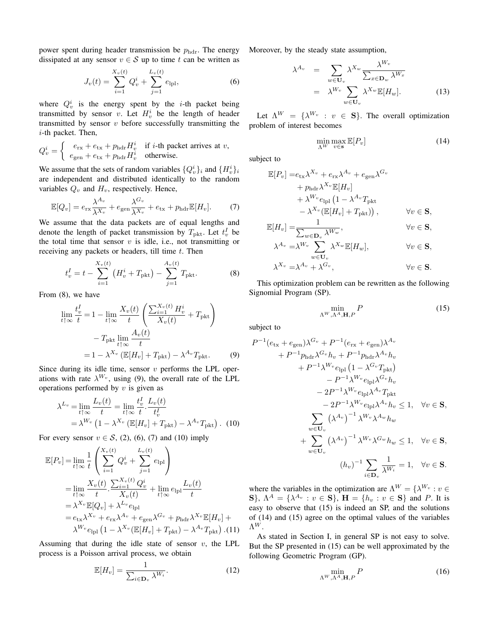power spent during header transmission be  $p_{\text{hdr}}$ . The energy dissipated at any sensor  $v \in S$  up to time t can be written as

$$
J_v(t) = \sum_{i=1}^{X_v(t)} Q_v^i + \sum_{j=1}^{L_v(t)} e_{\text{lpl}},
$$
\n(6)

where  $Q_v^i$  is the energy spent by the *i*-th packet being transmitted by sensor v. Let  $H_v^i$  be the length of header transmitted by sensor  $v$  before successfully transmitting the  $i$ -th packet. Then,

$$
Q_v^i = \begin{cases} e_{\text{rx}} + e_{\text{tx}} + p_{\text{hdr}} H_v^i & \text{if } i\text{-th packet arrives at } v, \\ e_{\text{gen}} + e_{\text{tx}} + p_{\text{hdr}} H_v^i & \text{otherwise.} \end{cases}
$$

We assume that the sets of random variables  $\{Q_v^i\}_i$  and  $\{H_v^i\}_i$ are independent and distributed identically to the random variables  $Q_v$  and  $H_v$ , respectively. Hence,

$$
\mathbb{E}[Q_v] = e_{\text{rx}} \frac{\lambda^{A_v}}{\lambda^{X_v}} + e_{\text{gen}} \frac{\lambda^{G_v}}{\lambda^{X_v}} + e_{\text{tx}} + p_{\text{hdr}} \mathbb{E}[H_v]. \tag{7}
$$

We assume that the data packets are of equal lengths and denote the length of packet transmission by  $T_{\text{pkt}}$ . Let  $t_v^I$  be the total time that sensor  $v$  is idle, i.e., not transmitting or receiving any packets or headers, till time  $t$ . Then

$$
t_v^I = t - \sum_{i=1}^{X_v(t)} (H_v^i + T_{\text{pkt}}) - \sum_{j=1}^{A_v(t)} T_{\text{pkt}}.
$$
 (8)

From (8), we have

$$
\lim_{t \uparrow \infty} \frac{t_v^I}{t} = 1 - \lim_{t \uparrow \infty} \frac{X_v(t)}{t} \left( \frac{\sum_{i=1}^{X_v(t)} H_v^i}{X_v(t)} + T_{\text{pkt}} \right)
$$

$$
- T_{\text{pkt}} \lim_{t \uparrow \infty} \frac{A_v(t)}{t}
$$

$$
= 1 - \lambda^{X_v} \left( \mathbb{E}[H_v] + T_{\text{pkt}} \right) - \lambda^{A_v} T_{\text{pkt}}.
$$
(9)

Since during its idle time, sensor  $v$  performs the LPL operations with rate  $\lambda^{W_v}$ , using (9), the overall rate of the LPL operations performed by  $v$  is given as

$$
\lambda^{L_v} = \lim_{t \uparrow \infty} \frac{L_v(t)}{t} = \lim_{t \uparrow \infty} \frac{t_v^I}{t} \cdot \frac{L_v(t)}{t_v^I}
$$
  
=  $\lambda^{W_v} \left(1 - \lambda^{X_v} \left(\mathbb{E}[H_v] + T_{\text{plt}}\right) - \lambda^{A_v} T_{\text{plt}}\right)$ . (10)

For every sensor  $v \in S$ , (2), (6), (7) and (10) imply

$$
\mathbb{E}[P_v] = \lim_{t \uparrow \infty} \frac{1}{t} \left( \sum_{i=1}^{X_v(t)} Q_v^i + \sum_{j=1}^{L_v(t)} e_{\text{lp}} \right)
$$
  
\n
$$
= \lim_{t \uparrow \infty} \frac{X_v(t)}{t} \cdot \frac{\sum_{i=1}^{X_v(t)} Q_v^i}{X_v(t)} + \lim_{t \uparrow \infty} e_{\text{lp}} \frac{L_v(t)}{t}
$$
  
\n
$$
= \lambda^{X_v} \mathbb{E}[Q_v] + \lambda^{L_v} e_{\text{lp}} \newline = e_{\text{tx}} \lambda^{X_v} + e_{\text{rx}} \lambda^{A_v} + e_{\text{gen}} \lambda^{G_v} + p_{\text{hdr}} \lambda^{X_v} \mathbb{E}[H_v] + \lambda^{W_v} e_{\text{lp}} (1 - \lambda^{X_v} (\mathbb{E}[H_v] + T_{\text{pk}}) - \lambda^{A_v} T_{\text{pk}}). (11)
$$

Assuming that during the idle state of sensor  $v$ , the LPL process is a Poisson arrival process, we obtain

$$
\mathbb{E}[H_v] = \frac{1}{\sum_{i \in \mathbf{D}_v} \lambda^{W_i}}.
$$
 (12)

Moreover, by the steady state assumption,

$$
\lambda^{A_v} = \sum_{w \in \mathbf{U}_v} \lambda^{X_w} \frac{\lambda^{W_v}}{\sum_{x \in \mathbf{D}_w} \lambda^{W_x}}
$$
  
=  $\lambda^{W_v} \sum_{w \in \mathbf{U}_v} \lambda^{X_w} \mathbb{E}[H_w].$  (13)

Let  $\Lambda^W = {\lambda^{W_v}} : v \in S$ . The overall optimization problem of interest becomes

$$
\min_{\Lambda^W} \max_{v \in \mathbf{s}} \mathbb{E}[P_v] \tag{14}
$$

subject to

$$
\mathbb{E}[P_v] = e_{\text{tx}} \lambda^{X_v} + e_{\text{rx}} \lambda^{A_v} + e_{\text{gen}} \lambda^{G_v}
$$
  
+  $p_{\text{hdr}} \lambda^{X_v} \mathbb{E}[H_v]$   
+  $\lambda^{W_v} e_{\text{lpl}} (1 - \lambda^{A_v} T_{\text{pkt}})$   
-  $\lambda^{X_v} (\mathbb{E}[H_v] + T_{\text{pkt}})), \qquad \forall v \in \mathbf{S},$ 

$$
\mathbb{E}[H_v] = \frac{1}{\sum_{w \in \mathbf{D}_v} \lambda^{W_w}}, \qquad \forall v \in \mathbf{S},
$$

$$
\lambda^{A_v} = \lambda^{W_v} \sum_{w \in \mathbf{U}_v} \lambda^{X_w} \mathbb{E}[H_w], \qquad \forall v \in \mathbf{S},
$$

$$
\lambda^{X_v} = \lambda^{A_v} + \lambda^{G_v}, \qquad \forall v \in \mathbf{S}.
$$

This optimization problem can be rewritten as the following Signomial Program (SP).

$$
\min_{\Lambda^W, \Lambda^A, \mathbf{H}, P} P \tag{15}
$$

subject to

$$
P^{-1}(e_{\text{tx}} + e_{\text{gen}})\lambda^{G_v} + P^{-1}(e_{\text{rx}} + e_{\text{gen}})\lambda^{A_v}
$$
  
+  $P^{-1}p_{\text{hdr}}\lambda^{G_v}h_v + P^{-1}p_{\text{hdr}}\lambda^{A_v}h_v$   
+  $P^{-1}\lambda^{W_v}e_{\text{lpl}}(1 - \lambda^{G_v}T_{\text{pkt}})$   
-  $P^{-1}\lambda^{W_v}e_{\text{lpl}}\lambda^{G_v}h_v$   
-  $2P^{-1}\lambda^{W_v}e_{\text{lpl}}\lambda^{A_v}T_{\text{pkt}}$   
-  $2P^{-1}\lambda^{W_v}e_{\text{lpl}}\lambda^{A_v}h_v \le 1, \quad \forall v \in \mathbf{S},$   

$$
\sum_{w \in \mathbf{U}_v} (\lambda^{A_v})^{-1} \lambda^{W_v}\lambda^{A_w}h_w
$$
  
+ 
$$
\sum_{w \in \mathbf{U}_v} (\lambda^{A_v})^{-1} \lambda^{W_v}\lambda^{G_w}h_w \le 1, \quad \forall v \in \mathbf{S},
$$
  
 $(h_v)^{-1} \sum_{i \in \mathbf{D}_v} \frac{1}{\lambda^{W_i}} = 1, \quad \forall v \in \mathbf{S}.$ 

where the variables in the optimization are  $\Lambda^W = \{ \lambda^{W_v} : v \in \mathbb{R}^d \}$ S},  $\Lambda^A = \{ \lambda^{A_v} : v \in \mathbf{S} \}, \, \mathbf{H} = \{ h_v : v \in \mathbf{S} \}$  and P. It is easy to observe that (15) is indeed an SP, and the solutions of (14) and (15) agree on the optimal values of the variables  $\Lambda^W$ .

As stated in Section I, in general SP is not easy to solve. But the SP presented in (15) can be well approximated by the following Geometric Program (GP).

$$
\min_{\Lambda^W, \Lambda^A, \mathbf{H}, P} P \tag{16}
$$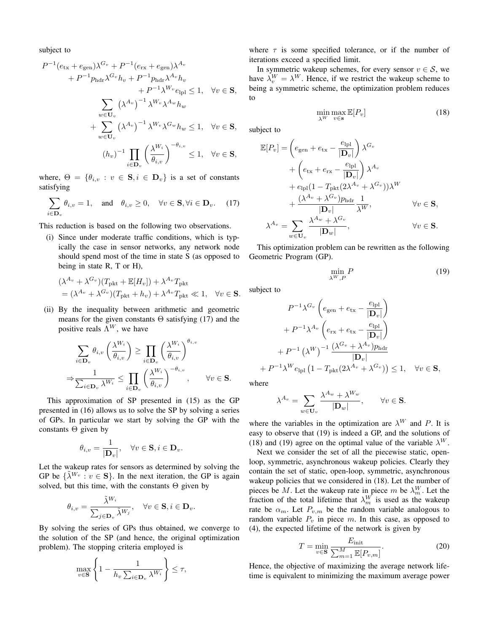subject to

$$
P^{-1}(e_{\text{tx}} + e_{\text{gen}})\lambda^{G_v} + P^{-1}(e_{\text{rx}} + e_{\text{gen}})\lambda^{A_v}
$$
  
+  $P^{-1}p_{\text{hdr}}\lambda^{G_v}h_v + P^{-1}p_{\text{hdr}}\lambda^{A_v}h_v$   
+  $P^{-1}\lambda^{W_v}e_{\text{lp}} \le 1, \quad \forall v \in \mathbf{S},$   

$$
\sum_{w \in \mathbf{U}_v} (\lambda^{A_v})^{-1} \lambda^{W_v}\lambda^{A_w}h_w
$$
  
+ 
$$
\sum_{w \in \mathbf{U}_v} (\lambda^{A_v})^{-1} \lambda^{W_v}\lambda^{G_w}h_w \le 1, \quad \forall v \in \mathbf{S},
$$
  

$$
(h_v)^{-1} \prod_{i \in \mathbf{D}_v} (\frac{\lambda^{W_i}}{\theta_{i,v}})^{-\theta_{i,v}} \le 1, \quad \forall v \in \mathbf{S},
$$

where,  $\Theta = \{\theta_{i,v} : v \in \mathbf{S}, i \in \mathbf{D}_v\}$  is a set of constants satisfying

$$
\sum_{i \in \mathbf{D}_v} \theta_{i,v} = 1, \text{ and } \theta_{i,v} \ge 0, \quad \forall v \in \mathbf{S}, \forall i \in \mathbf{D}_v. \quad (17)
$$

This reduction is based on the following two observations.

(i) Since under moderate traffic conditions, which is typically the case in sensor networks, any network node should spend most of the time in state S (as opposed to being in state R, T or H),

$$
(\lambda^{A_v} + \lambda^{G_v})(T_{\text{pkt}} + \mathbb{E}[H_v]) + \lambda^{A_v} T_{\text{pkt}}
$$
  
=  $(\lambda^{A_v} + \lambda^{G_v})(T_{\text{pkt}} + h_v) + \lambda^{A_v} T_{\text{pkt}} \ll 1, \quad \forall v \in \mathbf{S}.$ 

(ii) By the inequality between arithmetic and geometric means for the given constants  $\Theta$  satisfying (17) and the positive reals  $\Lambda^W$ , we have

$$
\sum_{i \in \mathbf{D}_v} \theta_{i,v} \left( \frac{\lambda^{W_i}}{\theta_{i,v}} \right) \ge \prod_{i \in \mathbf{D}_v} \left( \frac{\lambda^{W_i}}{\theta_{i,v}} \right)^{\theta_{i,v}}
$$

$$
\Rightarrow \frac{1}{\sum_{i \in \mathbf{D}_v} \lambda^{W_i}} \le \prod_{i \in \mathbf{D}_v} \left( \frac{\lambda^{W_i}}{\theta_{i,v}} \right)^{-\theta_{i,v}}, \qquad \forall v \in \mathbf{S}.
$$

This approximation of SP presented in (15) as the GP presented in (16) allows us to solve the SP by solving a series of GPs. In particular we start by solving the GP with the constants  $\Theta$  given by

$$
\theta_{i,v} = \frac{1}{|\mathbf{D}_v|}, \quad \forall v \in \mathbf{S}, i \in \mathbf{D}_v.
$$

Let the wakeup rates for sensors as determined by solving the GP be  $\{\tilde{\lambda}^{W_v} : v \in \mathbf{S}\}\$ . In the next iteration, the GP is again solved, but this time, with the constants Θ given by

$$
\theta_{i,v} = \frac{\tilde{\lambda}^{W_i}}{\sum_{j \in \mathbf{D}_v} \tilde{\lambda}^{W_j}}, \quad \forall v \in \mathbf{S}, i \in \mathbf{D}_v.
$$

By solving the series of GPs thus obtained, we converge to the solution of the SP (and hence, the original optimization problem). The stopping criteria employed is

$$
\max_{v \in \mathbf{S}} \left\{ 1 - \frac{1}{h_v \sum_{i \in \mathbf{D}_v} \lambda^{W_i}} \right\} \le \tau,
$$

where  $\tau$  is some specified tolerance, or if the number of iterations exceed a specified limit.

In symmetric wakeup schemes, for every sensor  $v \in S$ , we have  $\lambda_v^W = \lambda^W$ . Hence, if we restrict the wakeup scheme to being a symmetric scheme, the optimization problem reduces to

$$
\min_{\lambda^W} \max_{v \in \mathbf{s}} \mathbb{E}[P_v] \tag{18}
$$

subject to

$$
\mathbb{E}[P_v] = \left(e_{\text{gen}} + e_{\text{tx}} - \frac{e_{\text{lpl}}}{|\mathbf{D}_v|}\right) \lambda^{G_v} \n+ \left(e_{\text{tx}} + e_{\text{rx}} - \frac{e_{\text{lpl}}}{|\mathbf{D}_v|}\right) \lambda^{A_v} \n+ e_{\text{lpl}} (1 - T_{\text{pkt}} (2\lambda^{A_v} + \lambda^{G_v})) \lambda^W \n+ \frac{(\lambda^{A_v} + \lambda^{G_v}) p_{\text{hdr}}}{|\mathbf{D}_v|} \frac{1}{\lambda^W}, \qquad \forall v \in \mathbf{S}, \n\lambda^{A_v} = \sum_{w \in \mathbf{U}_v} \frac{\lambda^{A_w} + \lambda^{G_v}}{|\mathbf{D}_w|}, \qquad \forall v \in \mathbf{S}.
$$

This optimization problem can be rewritten as the following Geometric Program (GP).

$$
\min_{\lambda^W, P} P \tag{19}
$$

subject to

$$
P^{-1}\lambda^{G_v} \left(e_{\text{gen}} + e_{\text{tx}} - \frac{e_{\text{lpl}}}{|\mathbf{D}_v|}\right)
$$
  
+  $P^{-1}\lambda^{A_v} \left(e_{\text{rx}} + e_{\text{tx}} - \frac{e_{\text{lpl}}}{|\mathbf{D}_v|}\right)$   
+  $P^{-1} (\lambda^W)^{-1} \frac{(\lambda^{G_v} + \lambda^{A_v})p_{\text{hdr}}}{|\mathbf{D}_v|}$   
+  $P^{-1}\lambda^W e_{\text{lpl}} (1 - T_{\text{pkt}} (2\lambda^{A_v} + \lambda^{G_v})) \le 1, \quad \forall v \in \mathbf{S},$ 

where

$$
\lambda^{A_v} = \sum_{w \in \mathbf{U}_v} \frac{\lambda^{A_w} + \lambda^{W_w}}{|\mathbf{D}_w|}, \qquad \forall v \in \mathbf{S}.
$$

where the variables in the optimization are  $\lambda^{W}$  and P. It is easy to observe that (19) is indeed a GP, and the solutions of (18) and (19) agree on the optimal value of the variable  $\lambda^{W}$ .

Next we consider the set of all the piecewise static, openloop, symmetric, asynchronous wakeup policies. Clearly they contain the set of static, open-loop, symmetric, asynchronous wakeup policies that we considered in  $(18)$ . Let the number of pieces be M. Let the wakeup rate in piece m be  $\lambda_m^W$ . Let the fraction of the total lifetime that  $\lambda_m^W$  is used as the wakeup rate be  $\alpha_m$ . Let  $P_{v,m}$  be the random variable analogous to random variable  $P_v$  in piece m. In this case, as opposed to (4), the expected lifetime of the network is given by

$$
T = \min_{v \in \mathbf{S}} \frac{E_{\text{init}}}{\sum_{m=1}^{M} \mathbb{E}[P_{v,m}]}.
$$
 (20)

Hence, the objective of maximizing the average network lifetime is equivalent to minimizing the maximum average power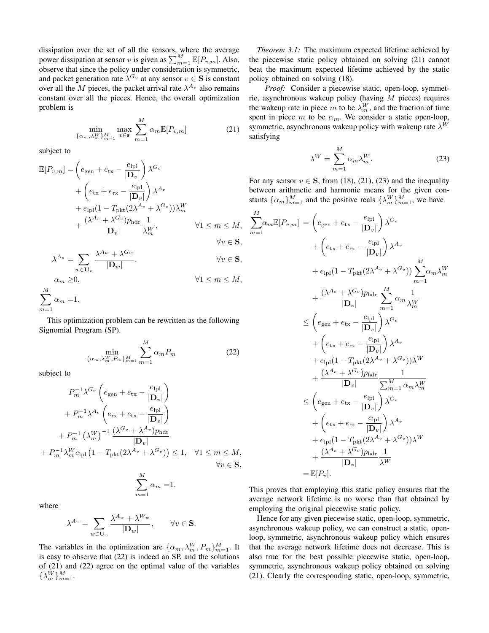dissipation over the set of all the sensors, where the average power dissipation at sensor v is given as  $\sum_{m=1}^{M} \mathbb{E}[P_{v,m}]$ . Also, observe that since the policy under consideration is symmetric, and packet generation rate  $\lambda^{G_v}$  at any sensor  $v \in S$  is constant over all the M pieces, the packet arrival rate  $\lambda^{A_v}$  also remains constant over all the pieces. Hence, the overall optimization problem is

$$
\min_{\{\alpha_m,\lambda_m^W\}_{m=1}^M} \max_{v \in \mathbf{s}} \sum_{m=1}^M \alpha_m \mathbb{E}[P_{v,m}]
$$
\n(21)

subject to

$$
\mathbb{E}[P_{v,m}] = \left(e_{\text{gen}} + e_{\text{tx}} - \frac{e_{\text{lp}}}{|\mathbf{D}_v|}\right) \lambda^{G_v} \n+ \left(e_{\text{tx}} + e_{\text{rx}} - \frac{e_{\text{lp}}}{|\mathbf{D}_v|}\right) \lambda^{A_v} \n+ e_{\text{lp}}[(1 - T_{\text{pkt}}(2\lambda^{A_v} + \lambda^{G_v}))\lambda_m^W \n+ \frac{(\lambda^{A_v} + \lambda^{G_v})p_{\text{hdr}}}{|\mathbf{D}_v|} \frac{1}{\lambda_m^W}, \qquad \forall 1 \le m \le M, \n\forall v \in \mathbf{S}, \n\lambda^{A_v} = \sum_{w \in \mathbf{U}_v} \frac{\lambda^{A_w} + \lambda^{G_w}}{|\mathbf{D}_w|}, \qquad \forall v \in \mathbf{S}, \n\alpha_m \ge 0, \qquad \forall 1 \le m \le M, \n\sum_{w = 1}^M \alpha_m = 1.
$$

This optimization problem can be rewritten as the following Signomial Program (SP).

$$
\min_{\{\alpha_m,\lambda_m^W, P_m\}_{m=1}^M} \sum_{m=1}^M \alpha_m P_m
$$
 (22)

subject to

 $m=1$ 

$$
P_m^{-1} \lambda^{G_v} \left( e_{\text{gen}} + e_{\text{tx}} - \frac{e_{\text{lpl}}}{|\mathbf{D}_v|} \right)
$$
  
+ 
$$
P_m^{-1} \lambda^{A_v} \left( e_{\text{rx}} + e_{\text{tx}} - \frac{e_{\text{lpl}}}{|\mathbf{D}_v|} \right)
$$
  
+ 
$$
P_m^{-1} \left( \lambda_m^W \right)^{-1} \frac{(\lambda^{G_v} + \lambda^{A_v}) p_{\text{hdr}}}{|\mathbf{D}_v|}
$$
  
+ 
$$
P_m^{-1} \lambda_m^W e_{\text{lpl}} \left( 1 - T_{\text{pkt}} (2\lambda^{A_v} + \lambda^{G_v}) \right) \le 1, \quad \forall 1 \le m \le M,
$$
  

$$
\forall v \in \mathbf{S},
$$
  

$$
\sum_{n=1}^{M} \alpha_m = 1.
$$

 $m=1$ 

where

$$
\lambda^{A_v} = \sum_{w \in \mathbf{U}_v} \frac{\lambda^{A_w} + \lambda^{W_w}}{|\mathbf{D}_w|}, \qquad \forall v \in \mathbf{S}.
$$

The variables in the optimization are  $\{\alpha_m, \lambda_m^W, P_m\}_{m=1}^M$ . It is easy to observe that (22) is indeed an SP, and the solutions of (21) and (22) agree on the optimal value of the variables  $\{\lambda_m^W\}_{m=1}^M$ .

*Theorem 3.1:* The maximum expected lifetime achieved by the piecewise static policy obtained on solving (21) cannot beat the maximum expected lifetime achieved by the static policy obtained on solving (18).

*Proof:* Consider a piecewise static, open-loop, symmetric, asynchronous wakeup policy (having M pieces) requires the wakeup rate in piece m to be  $\lambda_m^W$ , and the fraction of time spent in piece m to be  $\alpha_m$ . We consider a static open-loop, symmetric, asynchronous wakeup policy with wakeup rate  $\lambda^W$ satisfying

$$
\lambda^W = \sum_{m=1}^M \alpha_m \lambda_m^W.
$$
 (23)

For any sensor  $v \in S$ , from (18), (21), (23) and the inequality between arithmetic and harmonic means for the given constants  $\{\alpha_m\}_{m=1}^M$  and the positive reals  $\{\lambda_m^W\}_{m=1}^M$ , we have

$$
\sum_{m=1}^{M} \alpha_m \mathbb{E}[P_{v,m}] = \left(e_{\text{gen}} + e_{\text{tx}} - \frac{e_{\text{lp}}}{|\mathbf{D}_v|}\right) \lambda^{G_v} \n+ \left(e_{\text{tx}} + e_{\text{rx}} - \frac{e_{\text{lp}}}{|\mathbf{D}_v|}\right) \lambda^{A_v} \n+ e_{\text{lp}}(1 - T_{\text{plt}}(2\lambda^{A_v} + \lambda^{G_v})) \sum_{m=1}^{M} \alpha_m \lambda_m^W \n+ \frac{(\lambda^{A_v} + \lambda^{G_v})p_{\text{hdr}}}{|\mathbf{D}_v|} \sum_{m=1}^{M} \alpha_m \frac{1}{\lambda_m^W} \n\leq \left(e_{\text{gen}} + e_{\text{tx}} - \frac{e_{\text{lp}}}{|\mathbf{D}_v|}\right) \lambda^{G_v} \n+ \left(e_{\text{tx}} + e_{\text{rx}} - \frac{e_{\text{lp}}}{|\mathbf{D}_v|}\right) \lambda^{A_v} \n+ e_{\text{lp}}(1 - T_{\text{plt}}(2\lambda^{A_v} + \lambda^{G_v})) \lambda^W \n+ \frac{(\lambda^{A_v} + \lambda^{G_v})p_{\text{hdr}}}{|\mathbf{D}_v|} \frac{1}{\sum_{m=1}^{M} \alpha_m \lambda_m^W} \n\leq \left(e_{\text{gen}} + e_{\text{tx}} - \frac{e_{\text{lp}}}{|\mathbf{D}_v|}\right) \lambda^{G_v} \n+ \left(e_{\text{tx}} + e_{\text{rx}} - \frac{e_{\text{lp}}}{|\mathbf{D}_v|}\right) \lambda^{A_v} \n+ e_{\text{lp}}(1 - T_{\text{plt}}(2\lambda^{A_v} + \lambda^{G_v})) \lambda^W \n+ \frac{(\lambda^{A_v} + \lambda^{G_v})p_{\text{hdr}}}{|\mathbf{D}_v|} \frac{1}{\lambda^W} \n= \mathbb{E}[P_v].
$$

This proves that employing this static policy ensures that the average network lifetime is no worse than that obtained by employing the original piecewise static policy.

Hence for any given piecewise static, open-loop, symmetric, asynchronous wakeup policy, we can construct a static, openloop, symmetric, asynchronous wakeup policy which ensures that the average network lifetime does not decrease. This is also true for the best possible piecewise static, open-loop, symmetric, asynchronous wakeup policy obtained on solving (21). Clearly the corresponding static, open-loop, symmetric,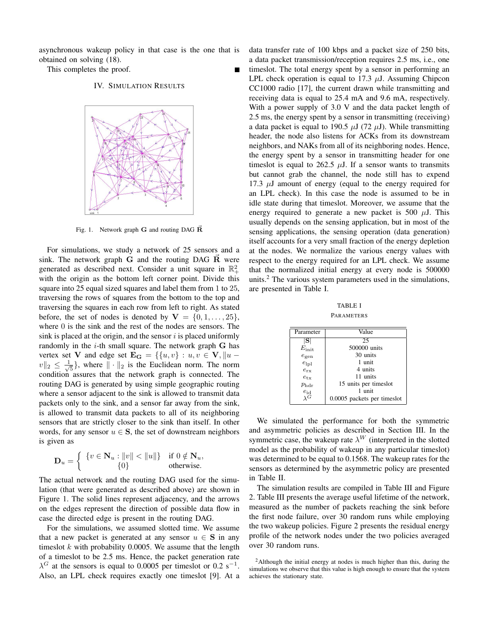asynchronous wakeup policy in that case is the one that is obtained on solving (18).

This completes the proof.

#### IV. SIMULATION RESULTS



Fig. 1. Network graph G and routing DAG  $\vec{R}$ 

For simulations, we study a network of 25 sensors and a sink. The network graph G and the routing DAG  $\overrightarrow{R}$  were generated as described next. Consider a unit square in  $\mathbb{R}^2_+$ with the origin as the bottom left corner point. Divide this square into 25 equal sized squares and label them from 1 to 25, traversing the rows of squares from the bottom to the top and traversing the squares in each row from left to right. As stated before, the set of nodes is denoted by  $V = \{0, 1, \ldots, 25\},\$ where 0 is the sink and the rest of the nodes are sensors. The sink is placed at the origin, and the sensor  $i$  is placed uniformly randomly in the  $i$ -th small square. The network graph G has vertex set **V** and edge set  $\mathbf{E_G} = \{ \{u, v\} : u, v \in \mathbf{V}, ||u$  $v\|_2 \leq \frac{1}{\sqrt{2}}$  $\frac{1}{5}$ , where  $\|\cdot\|_2$  is the Euclidean norm. The norm condition assures that the network graph is connected. The routing DAG is generated by using simple geographic routing where a sensor adjacent to the sink is allowed to transmit data packets only to the sink, and a sensor far away from the sink, is allowed to transmit data packets to all of its neighboring sensors that are strictly closer to the sink than itself. In other words, for any sensor  $u \in S$ , the set of downstream neighbors is given as

$$
\mathbf{D}_u = \left\{ \begin{array}{cc} \{v \in \mathbf{N}_u : ||v|| < ||u||\} & \text{if } 0 \notin \mathbf{N}_u, \\ \{0\} & \text{otherwise.} \end{array} \right.
$$

The actual network and the routing DAG used for the simulation (that were generated as described above) are shown in Figure 1. The solid lines represent adjacency, and the arrows on the edges represent the direction of possible data flow in case the directed edge is present in the routing DAG.

For the simulations, we assumed slotted time. We assume that a new packet is generated at any sensor  $u \in S$  in any timeslot  $k$  with probability 0.0005. We assume that the length of a timeslot to be 2.5 ms. Hence, the packet generation rate  $\lambda^G$  at the sensors is equal to 0.0005 per timeslot or 0.2 s<sup>-1</sup>. Also, an LPL check requires exactly one timeslot [9]. At a data transfer rate of 100 kbps and a packet size of 250 bits, a data packet transmission/reception requires 2.5 ms, i.e., one

timeslot. The total energy spent by a sensor in performing an LPL check operation is equal to 17.3  $\mu$ J. Assuming Chipcon CC1000 radio [17], the current drawn while transmitting and receiving data is equal to 25.4 mA and 9.6 mA, respectively. With a power supply of 3.0 V and the data packet length of 2.5 ms, the energy spent by a sensor in transmitting (receiving) a data packet is equal to 190.5  $\mu$ J (72  $\mu$ J). While transmitting header, the node also listens for ACKs from its downstream neighbors, and NAKs from all of its neighboring nodes. Hence, the energy spent by a sensor in transmitting header for one timeslot is equal to 262.5  $\mu$ J. If a sensor wants to transmits but cannot grab the channel, the node still has to expend 17.3  $\mu$ J amount of energy (equal to the energy required for an LPL check). In this case the node is assumed to be in idle state during that timeslot. Moreover, we assume that the energy required to generate a new packet is 500  $\mu$ J. This usually depends on the sensing application, but in most of the sensing applications, the sensing operation (data generation) itself accounts for a very small fraction of the energy depletion at the nodes. We normalize the various energy values with respect to the energy required for an LPL check. We assume that the normalized initial energy at every node is 500000 units.<sup>2</sup> The various system parameters used in the simulations, are presented in Table I.

TABLE I PARAMETERS

| Parameter                           | Value                       |  |  |
|-------------------------------------|-----------------------------|--|--|
| $ \mathbf{\bar{S}} $                | 25                          |  |  |
| $E_{\rm init}$                      | 500000 units                |  |  |
| $e_{gen}$                           | 30 units                    |  |  |
| $e_{\text{lpl}}$                    | 1 unit                      |  |  |
| $e_{rx}$                            | 4 units                     |  |  |
| $e_{\text{tx}}$                     | 11 units                    |  |  |
| $p_{\rm hdr}$                       | 15 units per timeslot       |  |  |
| $e_{\rm id}$                        | 1 unit                      |  |  |
| $\lambda$ <sup><math>G</math></sup> | 0.0005 packets per timeslot |  |  |

We simulated the performance for both the symmetric and asymmetric policies as described in Section III. In the symmetric case, the wakeup rate  $\lambda^{W}$  (interpreted in the slotted model as the probability of wakeup in any particular timeslot) was determined to be equal to 0.1568. The wakeup rates for the sensors as determined by the asymmetric policy are presented in Table II.

The simulation results are compiled in Table III and Figure 2. Table III presents the average useful lifetime of the network, measured as the number of packets reaching the sink before the first node failure, over 30 random runs while employing the two wakeup policies. Figure 2 presents the residual energy profile of the network nodes under the two policies averaged over 30 random runs.

 $2$ Although the initial energy at nodes is much higher than this, during the simulations we observe that this value is high enough to ensure that the system achieves the stationary state.